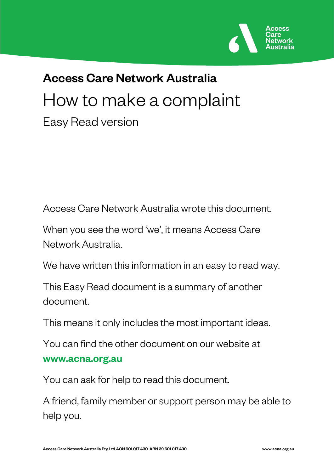

# Access Care Network Australia How to make a complaint Easy Read version

Access Care Network Australia wrote this document.

When you see the word 'we', it means Access Care Network Australia.

We have written this information in an easy to read way.

This Easy Read document is a summary of another document.

This means it only includes the most important ideas.

You can find the other document on our website at www.acna.org.au

You can ask for help to read this document.

A friend, family member or support person may be able to help you.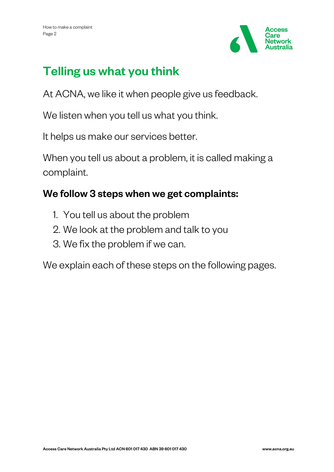

## Telling us what you think

At ACNA, we like it when people give us feedback.

We listen when you tell us what you think.

It helps us make our services better.

When you tell us about a problem, it is called making a complaint.

#### We follow 3 steps when we get complaints:

- 1. You tell us about the problem
- 2. We look at the problem and talk to you
- 3. We fix the problem if we can.

We explain each of these steps on the following pages.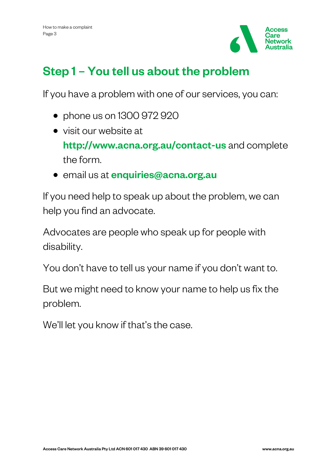

## Step 1 – You tell us about the problem

If you have a problem with one of our services, you can:

- phone us on 1300 972 920
- visit our website at <http://www.acna.org.au/contact-us> and complete the form.
- email us at *[enquiries@acna.org.au](mailto:enquiries@acna.org.au)*

If you need help to speak up about the problem, we can help you find an advocate.

Advocates are people who speak up for people with disability.

You don't have to tell us your name if you don't want to.

But we might need to know your name to help us fix the problem.

We'll let you know if that's the case.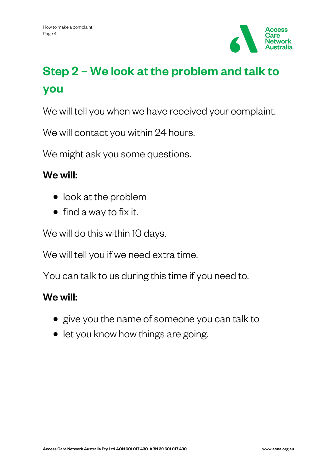

## Step 2 – We look at the problem and talk to you

We will tell you when we have received your complaint.

We will contact you within 24 hours.

We might ask you some questions.

#### We will:

- look at the problem
- find a way to fix it.

We will do this within 10 days.

We will tell you if we need extra time.

You can talk to us during this time if you need to.

#### We will:

- give you the name of someone you can talk to
- let you know how things are going.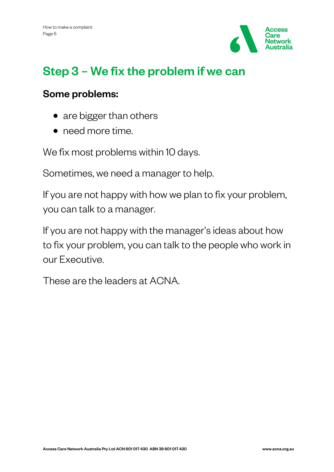

## Step 3 – We fix the problem if we can

#### Some problems:

- are bigger than others
- need more time.

We fix most problems within 10 days.

Sometimes, we need a manager to help.

If you are not happy with how we plan to fix your problem, you can talk to a manager.

If you are not happy with the manager's ideas about how to fix your problem, you can talk to the people who work in our Executive.

These are the leaders at ACNA.